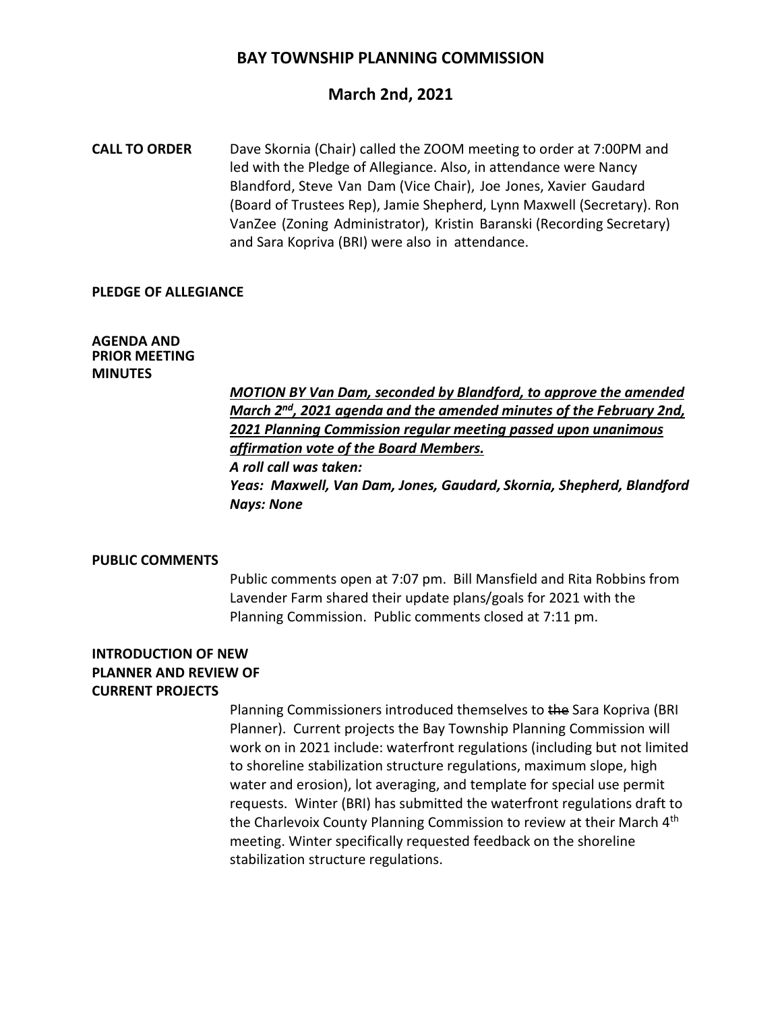## **BAY TOWNSHIP PLANNING COMMISSION**

## **March 2nd, 2021**

**CALL TO ORDER** Dave Skornia (Chair) called the ZOOM meeting to order at 7:00PM and led with the Pledge of Allegiance. Also, in attendance were Nancy Blandford, Steve Van Dam (Vice Chair), Joe Jones, Xavier Gaudard (Board of Trustees Rep), Jamie Shepherd, Lynn Maxwell (Secretary). Ron VanZee (Zoning Administrator), Kristin Baranski (Recording Secretary) and Sara Kopriva (BRI) were also in attendance.

#### **PLEDGE OF ALLEGIANCE**

#### **AGENDA AND PRIOR MEETING MINUTES**

*MOTION BY Van Dam, seconded by Blandford, to approve the amended March 2nd, 2021 agenda and the amended minutes of the February 2nd, 2021 Planning Commission regular meeting passed upon unanimous affirmation vote of the Board Members. A roll call was taken: Yeas: Maxwell, Van Dam, Jones, Gaudard, Skornia, Shepherd, Blandford Nays: None*

#### **PUBLIC COMMENTS**

Public comments open at 7:07 pm. Bill Mansfield and Rita Robbins from Lavender Farm shared their update plans/goals for 2021 with the Planning Commission. Public comments closed at 7:11 pm.

## **INTRODUCTION OF NEW PLANNER AND REVIEW OF CURRENT PROJECTS**

Planning Commissioners introduced themselves to the Sara Kopriva (BRI Planner). Current projects the Bay Township Planning Commission will work on in 2021 include: waterfront regulations (including but not limited to shoreline stabilization structure regulations, maximum slope, high water and erosion), lot averaging, and template for special use permit requests. Winter (BRI) has submitted the waterfront regulations draft to the Charlevoix County Planning Commission to review at their March 4<sup>th</sup> meeting. Winter specifically requested feedback on the shoreline stabilization structure regulations.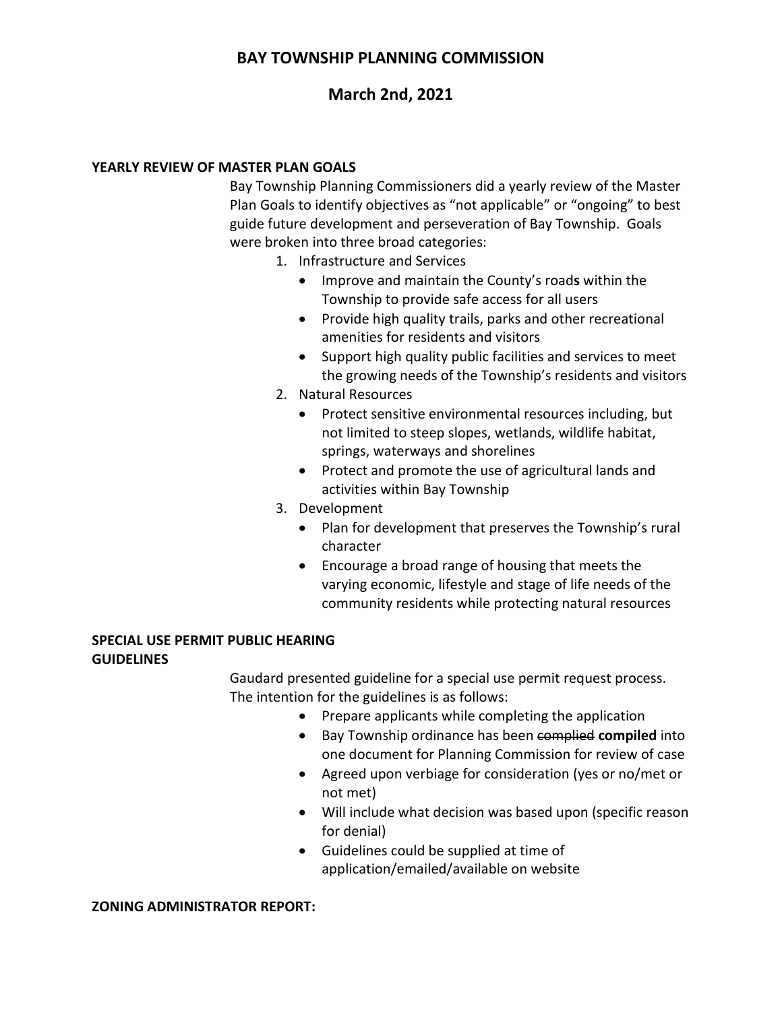# **BAY TOWNSHIP PLANNING COMMISSION**

# **March 2nd, 2021**

## **YEARLY REVIEW OF MASTER PLAN GOALS**

Bay Township Planning Commissioners did a yearly review of the Master Plan Goals to identify objectives as "not applicable" or "ongoing" to best guide future development and perseveration of Bay Township. Goals were broken into three broad categories:

- 1. Infrastructure and Services
	- Improve and maintain the County's road**s** within the Township to provide safe access for all users
	- Provide high quality trails, parks and other recreational amenities for residents and visitors
	- Support high quality public facilities and services to meet the growing needs of the Township's residents and visitors
- 2. Natural Resources
	- Protect sensitive environmental resources including, but not limited to steep slopes, wetlands, wildlife habitat, springs, waterways and shorelines
	- Protect and promote the use of agricultural lands and activities within Bay Township
- 3. Development
	- Plan for development that preserves the Township's rural character
	- Encourage a broad range of housing that meets the varying economic, lifestyle and stage of life needs of the community residents while protecting natural resources

## **SPECIAL USE PERMIT PUBLIC HEARING GUIDELINES**

Gaudard presented guideline for a special use permit request process. The intention for the guidelines is as follows:

- Prepare applicants while completing the application
- Bay Township ordinance has been complied **compiled** into one document for Planning Commission for review of case
- Agreed upon verbiage for consideration (yes or no/met or not met)
- Will include what decision was based upon (specific reason for denial)
- Guidelines could be supplied at time of application/emailed/available on website

#### **ZONING ADMINISTRATOR REPORT:**